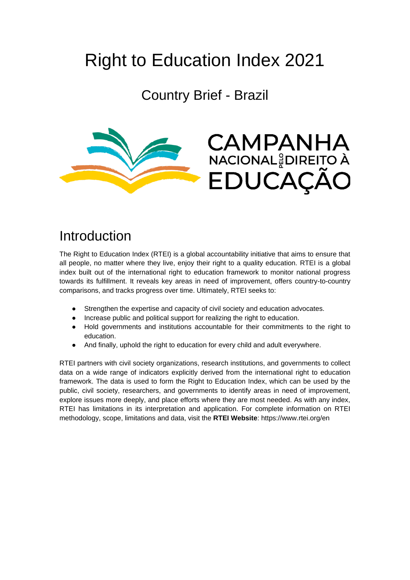# Right to Education Index 2021

Country Brief - Brazil



#### Introduction

The Right to Education Index (RTEI) is a global accountability initiative that aims to ensure that all people, no matter where they live, enjoy their right to a quality education. RTEI is a global index built out of the international right to education framework to monitor national progress towards its fulfillment. It reveals key areas in need of improvement, offers country-to-country comparisons, and tracks progress over time. Ultimately, RTEI seeks to:

- Strengthen the expertise and capacity of civil society and education advocates.
- Increase public and political support for realizing the right to education.
- Hold governments and institutions accountable for their commitments to the right to education.
- And finally, uphold the right to education for every child and adult everywhere.

RTEI partners with civil society organizations, research institutions, and governments to collect data on a wide range of indicators explicitly derived from the international right to education framework. The data is used to form the Right to Education Index, which can be used by the public, civil society, researchers, and governments to identify areas in need of improvement, explore issues more deeply, and place efforts where they are most needed. As with any index, RTEI has limitations in its interpretation and application. For complete information on RTEI methodology, scope, limitations and data, visit the **RTEI Website**: https://www.rtei.org/en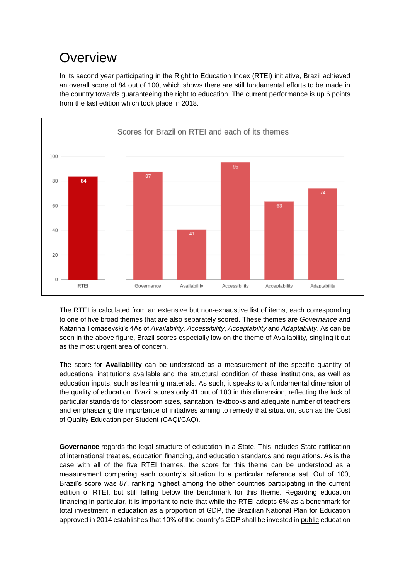#### **Overview**

In its second year participating in the Right to Education Index (RTEI) initiative, Brazil achieved an overall score of 84 out of 100, which shows there are still fundamental efforts to be made in the country towards guaranteeing the right to education. The current performance is up 6 points from the last edition which took place in 2018.



The RTEI is calculated from an extensive but non-exhaustive list of items, each corresponding to one of five broad themes that are also separately scored. These themes are *Governance* and Katarina Tomasevski's 4As of *Availability*, *Accessibility*, *Acceptability* and *Adaptability*. As can be seen in the above figure, Brazil scores especially low on the theme of Availability, singling it out as the most urgent area of concern.

The score for **Availability** can be understood as a measurement of the specific quantity of educational institutions available and the structural condition of these institutions, as well as education inputs, such as learning materials. As such, it speaks to a fundamental dimension of the quality of education. Brazil scores only 41 out of 100 in this dimension, reflecting the lack of particular standards for classroom sizes, sanitation, textbooks and adequate number of teachers and emphasizing the importance of initiatives aiming to remedy that situation, such as the Cost of Quality Education per Student (CAQi/CAQ).

**Governance** regards the legal structure of education in a State. This includes State ratification of international treaties, education financing, and education standards and regulations. As is the case with all of the five RTEI themes, the score for this theme can be understood as a measurement comparing each country's situation to a particular reference set. Out of 100, Brazil's score was 87, ranking highest among the other countries participating in the current edition of RTEI, but still falling below the benchmark for this theme. Regarding education financing in particular, it is important to note that while the RTEI adopts 6% as a benchmark for total investment in education as a proportion of GDP, the Brazilian National Plan for Education approved in 2014 establishes that 10% of the country's GDP shall be invested in public education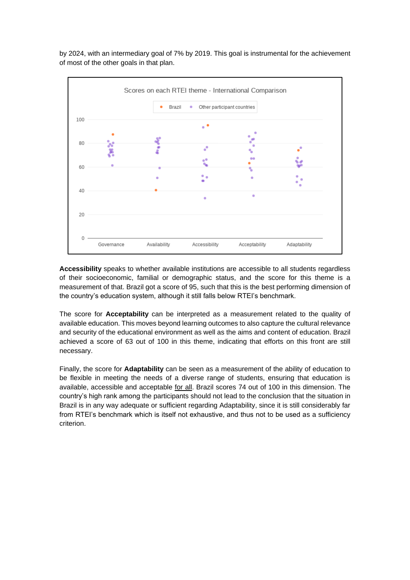by 2024, with an intermediary goal of 7% by 2019. This goal is instrumental for the achievement of most of the other goals in that plan.



**Accessibility** speaks to whether available institutions are accessible to all students regardless of their socioeconomic, familial or demographic status, and the score for this theme is a measurement of that. Brazil got a score of 95, such that this is the best performing dimension of the country's education system, although it still falls below RTEI's benchmark.

The score for **Acceptability** can be interpreted as a measurement related to the quality of available education. This moves beyond learning outcomes to also capture the cultural relevance and security of the educational environment as well as the aims and content of education. Brazil achieved a score of 63 out of 100 in this theme, indicating that efforts on this front are still necessary.

Finally, the score for **Adaptability** can be seen as a measurement of the ability of education to be flexible in meeting the needs of a diverse range of students, ensuring that education is available, accessible and acceptable for all. Brazil scores 74 out of 100 in this dimension. The country's high rank among the participants should not lead to the conclusion that the situation in Brazil is in any way adequate or sufficient regarding Adaptability, since it is still considerably far from RTEI's benchmark which is itself not exhaustive, and thus not to be used as a sufficiency criterion.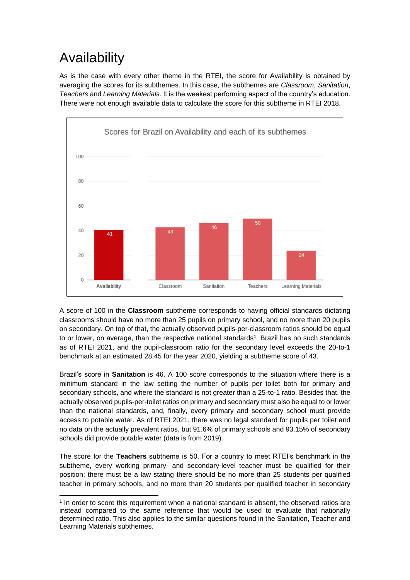## Availability

As is the case with every other theme in the RTEI, the score for Availability is obtained by averaging the scores for its subthemes. In this case, the subthemes are *Classroom*, *Sanitation*, *Teachers* and *Learning Materials*. It is the weakest performing aspect of the country's education. There were not enough available data to calculate the score for this subtheme in RTEI 2018.



A score of 100 in the **Classroom** subtheme corresponds to having official standards dictating classrooms should have no more than 25 pupils on primary school, and no more than 20 pupils on secondary. On top of that, the actually observed pupils-per-classroom ratios should be equal to or lower, on average, than the respective national standards<sup>1</sup>. Brazil has no such standards as of RTEI 2021, and the pupil-classroom ratio for the secondary level exceeds the 20-to-1 benchmark at an estimated 28.45 for the year 2020, yielding a subtheme score of 43.

Brazil's score in **Sanitation** is 46. A 100 score corresponds to the situation where there is a minimum standard in the law setting the number of pupils per toilet both for primary and secondary schools, and where the standard is not greater than a 25-to-1 ratio. Besides that, the actually observed pupils-per-toilet ratios on primary and secondary must also be equal to or lower than the national standards, and, finally, every primary and secondary school must provide access to potable water. As of RTEI 2021, there was no legal standard for pupils per toilet and no data on the actually prevalent ratios, but 91.6% of primary schools and 93.15% of secondary schools did provide potable water (data is from 2019).

The score for the **Teachers** subtheme is 50. For a country to meet RTEI's benchmark in the subtheme, every working primary- and secondary-level teacher must be qualified for their position; there must be a law stating there should be no more than 25 students per qualified teacher in primary schools, and no more than 20 students per qualified teacher in secondary

l <sup>1</sup> In order to score this requirement when a national standard is absent, the observed ratios are instead compared to the same reference that would be used to evaluate that nationally determined ratio. This also applies to the similar questions found in the Sanitation, Teacher and Learning Materials subthemes.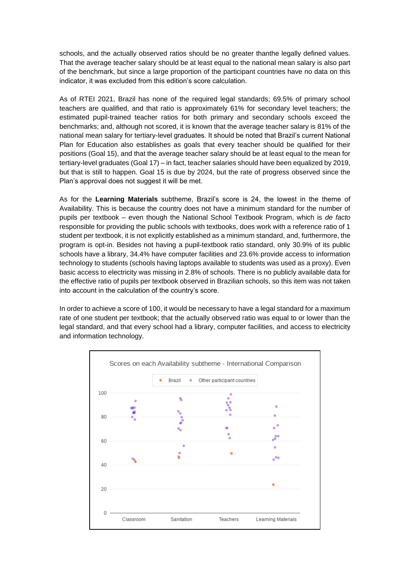schools, and the actually observed ratios should be no greater thanthe legally defined values. That the average teacher salary should be at least equal to the national mean salary is also part of the benchmark, but since a large proportion of the participant countries have no data on this indicator, it was excluded from this edition's score calculation.

As of RTEI 2021, Brazil has none of the required legal standards; 69.5% of primary school teachers are qualified, and that ratio is approximately 61% for secondary level teachers; the estimated pupil-trained teacher ratios for both primary and secondary schools exceed the benchmarks; and, although not scored, it is known that the average teacher salary is 81% of the national mean salary for tertiary-level graduates. It should be noted that Brazil's current National Plan for Education also establishes as goals that every teacher should be qualified for their positions (Goal 15), and that the average teacher salary should be at least equal to the mean for tertiary-level graduates (Goal 17) – in fact, teacher salaries should have been equalized by 2019, but that is still to happen. Goal 15 is due by 2024, but the rate of progress observed since the Plan's approval does not suggest it will be met.

As for the **Learning Materials** subtheme, Brazil's score is 24, the lowest in the theme of Availability. This is because the country does not have a minimum standard for the number of pupils per textbook – even though the National School Textbook Program, which is *de facto* responsible for providing the public schools with textbooks, does work with a reference ratio of 1 student per textbook, it is not explicitly established as a minimum standard, and, furthermore, the program is opt-in. Besides not having a pupil-textbook ratio standard, only 30.9% of its public schools have a library, 34.4% have computer facilities and 23.6% provide access to information technology to students (schools having laptops available to students was used as a proxy). Even basic access to electricity was missing in 2.8% of schools. There is no publicly available data for the effective ratio of pupils per textbook observed in Brazilian schools, so this item was not taken into account in the calculation of the country's score.

In order to achieve a score of 100, it would be necessary to have a legal standard for a maximum rate of one student per textbook; that the actually observed ratio was equal to or lower than the legal standard, and that every school had a library, computer facilities, and access to electricity and information technology.

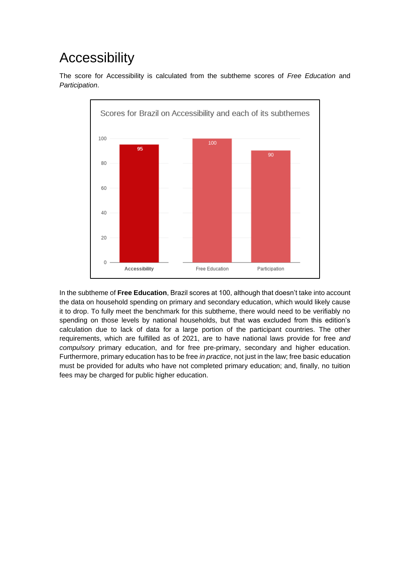#### **Accessibility**

The score for Accessibility is calculated from the subtheme scores of *Free Education* and *Participation*.



In the subtheme of **Free Education**, Brazil scores at 100, although that doesn't take into account the data on household spending on primary and secondary education, which would likely cause it to drop. To fully meet the benchmark for this subtheme, there would need to be verifiably no spending on those levels by national households, but that was excluded from this edition's calculation due to lack of data for a large portion of the participant countries. The other requirements, which are fulfilled as of 2021, are to have national laws provide for free *and compulsory* primary education, and for free pre-primary, secondary and higher education. Furthermore, primary education has to be free *in practice*, not just in the law; free basic education must be provided for adults who have not completed primary education; and, finally, no tuition fees may be charged for public higher education.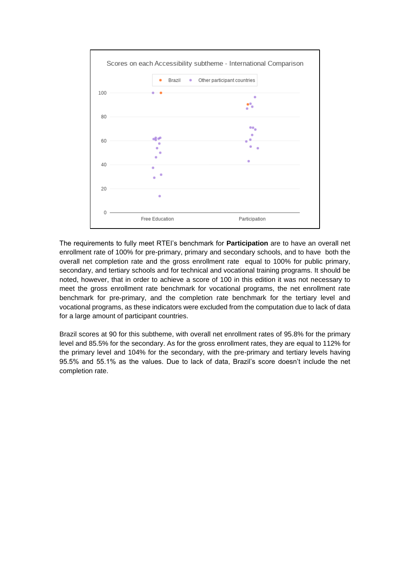

The requirements to fully meet RTEI's benchmark for **Participation** are to have an overall net enrollment rate of 100% for pre-primary, primary and secondary schools, and to have both the overall net completion rate and the gross enrollment rate equal to 100% for public primary, secondary, and tertiary schools and for technical and vocational training programs. It should be noted, however, that in order to achieve a score of 100 in this edition it was not necessary to meet the gross enrollment rate benchmark for vocational programs, the net enrollment rate benchmark for pre-primary, and the completion rate benchmark for the tertiary level and vocational programs, as these indicators were excluded from the computation due to lack of data for a large amount of participant countries.

Brazil scores at 90 for this subtheme, with overall net enrollment rates of 95.8% for the primary level and 85.5% for the secondary. As for the gross enrollment rates, they are equal to 112% for the primary level and 104% for the secondary, with the pre-primary and tertiary levels having 95.5% and 55.1% as the values. Due to lack of data, Brazil's score doesn't include the net completion rate.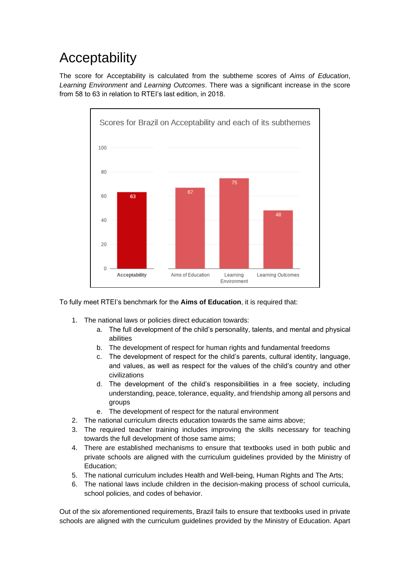## Acceptability

The score for Acceptability is calculated from the subtheme scores of *Aims of Education*, *Learning Environment* and *Learning Outcomes*. There was a significant increase in the score from 58 to 63 in relation to RTEI's last edition, in 2018.



To fully meet RTEI's benchmark for the **Aims of Education**, it is required that:

- 1. The national laws or policies direct education towards:
	- a. The full development of the child's personality, talents, and mental and physical abilities
	- b. The development of respect for human rights and fundamental freedoms
	- c. The development of respect for the child's parents, cultural identity, language, and values, as well as respect for the values of the child's country and other civilizations
	- d. The development of the child's responsibilities in a free society, including understanding, peace, tolerance, equality, and friendship among all persons and groups
	- e. The development of respect for the natural environment
- 2. The national curriculum directs education towards the same aims above;
- 3. The required teacher training includes improving the skills necessary for teaching towards the full development of those same aims;
- 4. There are established mechanisms to ensure that textbooks used in both public and private schools are aligned with the curriculum guidelines provided by the Ministry of Education;
- 5. The national curriculum includes Health and Well-being, Human Rights and The Arts;
- 6. The national laws include children in the decision-making process of school curricula, school policies, and codes of behavior.

Out of the six aforementioned requirements, Brazil fails to ensure that textbooks used in private schools are aligned with the curriculum guidelines provided by the Ministry of Education. Apart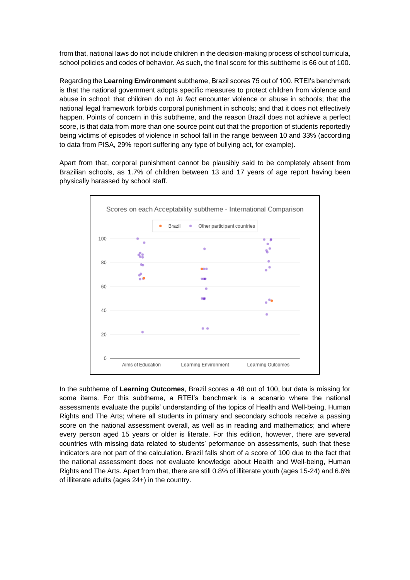from that, national laws do not include children in the decision-making process of school curricula, school policies and codes of behavior. As such, the final score for this subtheme is 66 out of 100.

Regarding the **Learning Environment** subtheme, Brazil scores 75 out of 100. RTEI's benchmark is that the national government adopts specific measures to protect children from violence and abuse in school; that children do not *in fact* encounter violence or abuse in schools; that the national legal framework forbids corporal punishment in schools; and that it does not effectively happen. Points of concern in this subtheme, and the reason Brazil does not achieve a perfect score, is that data from more than one source point out that the proportion of students reportedly being victims of episodes of violence in school fall in the range between 10 and 33% (according to data from PISA, 29% report suffering any type of bullying act, for example).

Apart from that, corporal punishment cannot be plausibly said to be completely absent from Brazilian schools, as 1.7% of children between 13 and 17 years of age report having been physically harassed by school staff.



In the subtheme of **Learning Outcomes**, Brazil scores a 48 out of 100, but data is missing for some items. For this subtheme, a RTEI's benchmark is a scenario where the national assessments evaluate the pupils' understanding of the topics of Health and Well-being, Human Rights and The Arts; where all students in primary and secondary schools receive a passing score on the national assessment overall, as well as in reading and mathematics; and where every person aged 15 years or older is literate. For this edition, however, there are several countries with missing data related to students' peformance on assessments, such that these indicators are not part of the calculation. Brazil falls short of a score of 100 due to the fact that the national assessment does not evaluate knowledge about Health and Well-being, Human Rights and The Arts. Apart from that, there are still 0.8% of illiterate youth (ages 15-24) and 6.6% of illiterate adults (ages 24+) in the country.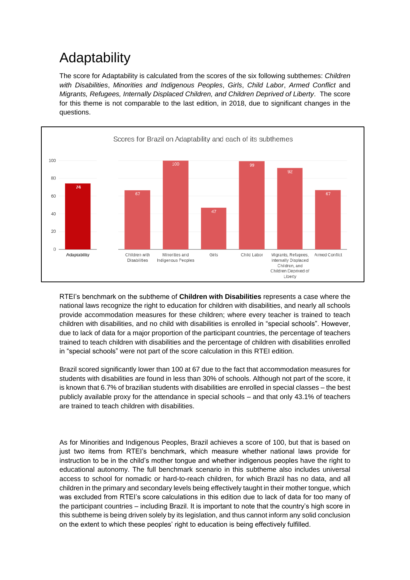## Adaptability

The score for Adaptability is calculated from the scores of the six following subthemes: *Children with Disabilities*, *Minorities and Indigenous Peoples*, *Girls*, *Child Labor*, *Armed Conflict* and *Migrants, Refugees, Internally Displaced Children, and Children Deprived of Liberty*. The score for this theme is not comparable to the last edition, in 2018, due to significant changes in the questions.



RTEI's benchmark on the subtheme of **Children with Disabilities** represents a case where the national laws recognize the right to education for children with disabilities, and nearly all schools provide accommodation measures for these children; where every teacher is trained to teach children with disabilities, and no child with disabilities is enrolled in "special schools". However, due to lack of data for a major proportion of the participant countries, the percentage of teachers trained to teach children with disabilities and the percentage of children with disabilities enrolled in "special schools" were not part of the score calculation in this RTEI edition.

Brazil scored significantly lower than 100 at 67 due to the fact that accommodation measures for students with disabilities are found in less than 30% of schools. Although not part of the score, it is known that 6.7% of brazilian students with disabilities are enrolled in special classes – the best publicly available proxy for the attendance in special schools – and that only 43.1% of teachers are trained to teach children with disabilities.

As for Minorities and Indigenous Peoples, Brazil achieves a score of 100, but that is based on just two items from RTEI's benchmark, which measure whether national laws provide for instruction to be in the child's mother tongue and whether indigenous peoples have the right to educational autonomy. The full benchmark scenario in this subtheme also includes universal access to school for nomadic or hard-to-reach children, for which Brazil has no data, and all children in the primary and secondary levels being effectively taught in their mother tongue, which was excluded from RTEI's score calculations in this edition due to lack of data for too many of the participant countries – including Brazil. It is important to note that the country's high score in this subtheme is being driven solely by its legislation, and thus cannot inform any solid conclusion on the extent to which these peoples' right to education is being effectively fulfilled.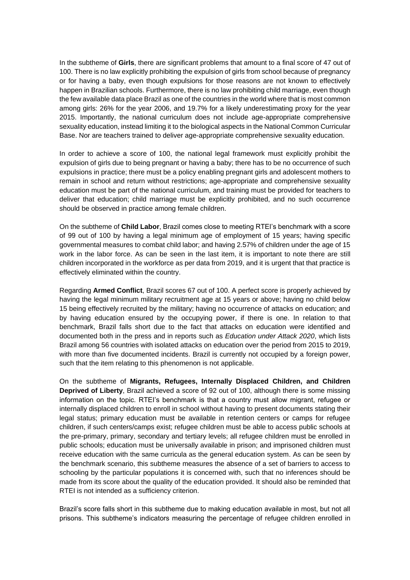In the subtheme of **Girls**, there are significant problems that amount to a final score of 47 out of 100. There is no law explicitly prohibiting the expulsion of girls from school because of pregnancy or for having a baby, even though expulsions for those reasons are not known to effectively happen in Brazilian schools. Furthermore, there is no law prohibiting child marriage, even though the few available data place Brazil as one of the countries in the world where that is most common among girls: 26% for the year 2006, and 19.7% for a likely underestimating proxy for the year 2015. Importantly, the national curriculum does not include age-appropriate comprehensive sexuality education, instead limiting it to the biological aspects in the National Common Curricular Base. Nor are teachers trained to deliver age-appropriate comprehensive sexuality education.

In order to achieve a score of 100, the national legal framework must explicitly prohibit the expulsion of girls due to being pregnant or having a baby; there has to be no occurrence of such expulsions in practice; there must be a policy enabling pregnant girls and adolescent mothers to remain in school and return without restrictions; age-appropriate and comprehensive sexuality education must be part of the national curriculum, and training must be provided for teachers to deliver that education; child marriage must be explicitly prohibited, and no such occurrence should be observed in practice among female children.

On the subtheme of **Child Labor**, Brazil comes close to meeting RTEI's benchmark with a score of 99 out of 100 by having a legal minimum age of employment of 15 years; having specific governmental measures to combat child labor; and having 2.57% of children under the age of 15 work in the labor force. As can be seen in the last item, it is important to note there are still children incorporated in the workforce as per data from 2019, and it is urgent that that practice is effectively eliminated within the country.

Regarding **Armed Conflict**, Brazil scores 67 out of 100. A perfect score is properly achieved by having the legal minimum military recruitment age at 15 years or above; having no child below 15 being effectively recruited by the military; having no occurrence of attacks on education; and by having education ensured by the occupying power, if there is one. In relation to that benchmark, Brazil falls short due to the fact that attacks on education were identified and documented both in the press and in reports such as *Education under Attack 2020*, which lists Brazil among 56 countries with isolated attacks on education over the period from 2015 to 2019, with more than five documented incidents. Brazil is currently not occupied by a foreign power, such that the item relating to this phenomenon is not applicable.

On the subtheme of **Migrants, Refugees, Internally Displaced Children, and Children Deprived of Liberty**, Brazil achieved a score of 92 out of 100, although there is some missing information on the topic. RTEI's benchmark is that a country must allow migrant, refugee or internally displaced children to enroll in school without having to present documents stating their legal status; primary education must be available in retention centers or camps for refugee children, if such centers/camps exist; refugee children must be able to access public schools at the pre-primary, primary, secondary and tertiary levels; all refugee children must be enrolled in public schools; education must be universally available in prison; and imprisoned children must receive education with the same curricula as the general education system. As can be seen by the benchmark scenario, this subtheme measures the absence of a set of barriers to access to schooling by the particular populations it is concerned with, such that no inferences should be made from its score about the quality of the education provided. It should also be reminded that RTEI is not intended as a sufficiency criterion.

Brazil's score falls short in this subtheme due to making education available in most, but not all prisons. This subtheme's indicators measuring the percentage of refugee children enrolled in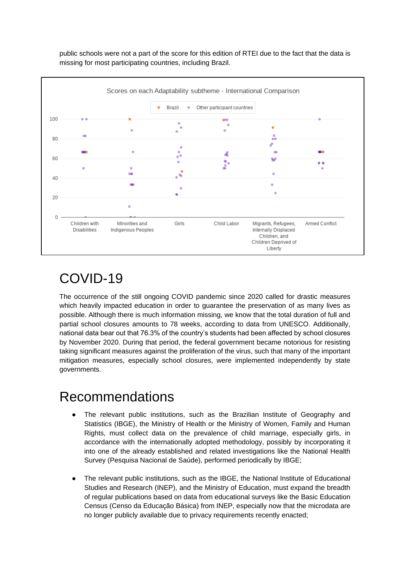

public schools were not a part of the score for this edition of RTEI due to the fact that the data is missing for most participating countries, including Brazil.

## COVID-19

The occurrence of the still ongoing COVID pandemic since 2020 called for drastic measures which heavily impacted education in order to guarantee the preservation of as many lives as possible. Although there is much information missing, we know that the total duration of full and partial school closures amounts to 78 weeks, according to data from UNESCO. Additionally, national data bear out that 76.3% of the country's students had been affected by school closures by November 2020. During that period, the federal government became notorious for resisting taking significant measures against the proliferation of the virus, such that many of the important mitigation measures, especially school closures, were implemented independently by state governments.

#### Recommendations

- The relevant public institutions, such as the Brazilian Institute of Geography and Statistics (IBGE), the Ministry of Health or the Ministry of Women, Family and Human Rights, must collect data on the prevalence of child marriage, especially girls, in accordance with the internationally adopted methodology, possibly by incorporating it into one of the already established and related investigations like the National Health Survey (Pesquisa Nacional de Saúde), performed periodically by IBGE;
- The relevant public institutions, such as the IBGE, the National Institute of Educational Studies and Research (INEP), and the Ministry of Education, must expand the breadth of regular publications based on data from educational surveys like the Basic Education Census (Censo da Educação Básica) from INEP, especially now that the microdata are no longer publicly available due to privacy requirements recently enacted;